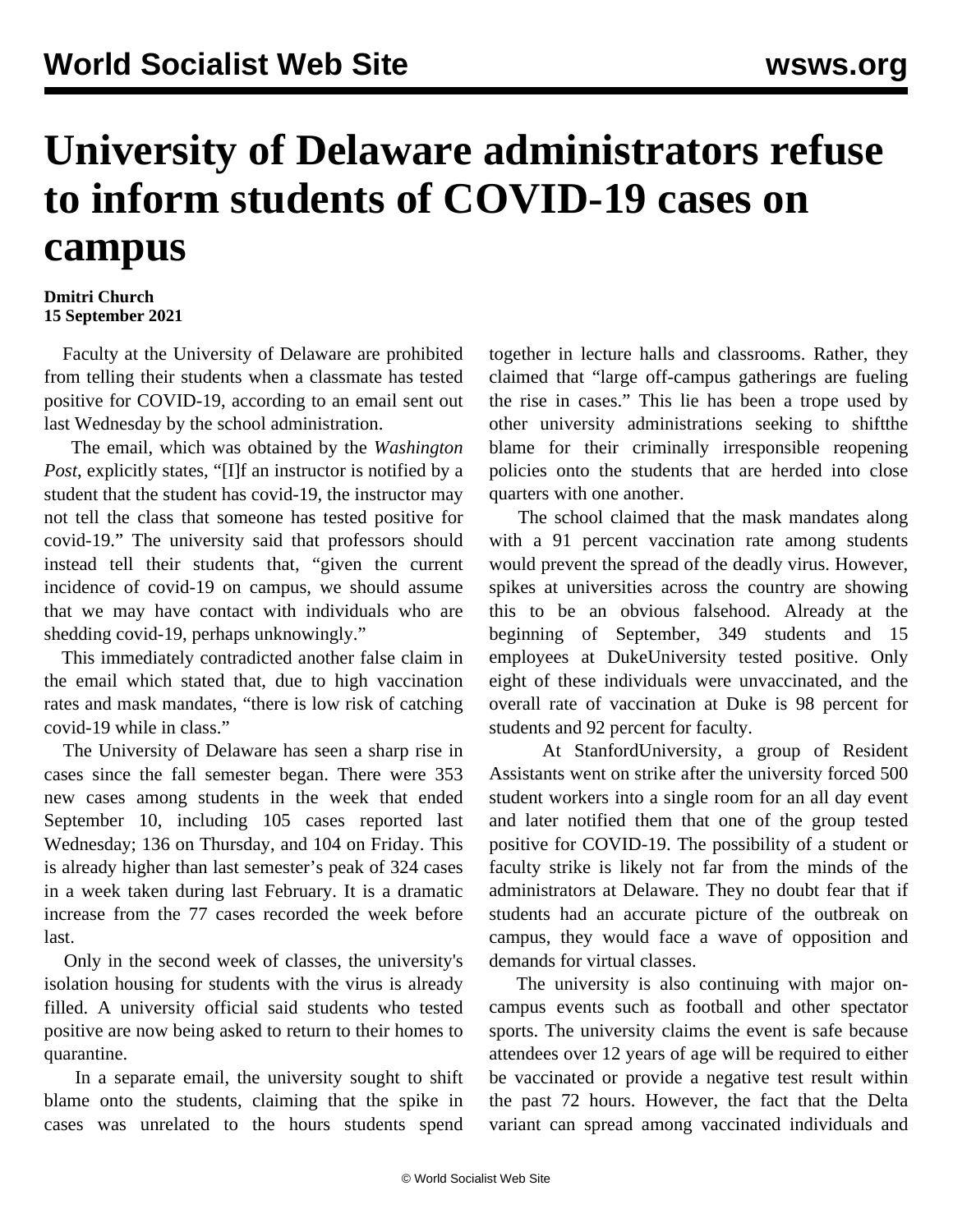## **University of Delaware administrators refuse to inform students of COVID-19 cases on campus**

## **Dmitri Church 15 September 2021**

 Faculty at the University of Delaware are prohibited from telling their students when a classmate has tested positive for COVID-19, according to an email sent out last Wednesday by the school administration.

 The email, which was obtained by the *Washington Post*, explicitly states, "[I]f an instructor is notified by a student that the student has covid-19, the instructor may not tell the class that someone has tested positive for covid-19." The university said that professors should instead tell their students that, "given the current incidence of covid-19 on campus, we should assume that we may have contact with individuals who are shedding covid-19, perhaps unknowingly."

 This immediately contradicted another false claim in the email which stated that, due to high vaccination rates and mask mandates, "there is low risk of catching covid-19 while in class."

 The University of Delaware has seen a sharp rise in cases since the fall semester began. There were 353 new cases among students in the week that ended September 10, including 105 cases reported last Wednesday; 136 on Thursday, and 104 on Friday. This is already higher than last semester's peak of 324 cases in a week taken during last February. It is a dramatic increase from the 77 cases recorded the week before last.

 Only in the second week of classes, the university's isolation housing for students with the virus is already filled. A university official said students who tested positive are now being asked to return to their homes to quarantine.

 In a separate email, the university sought to shift blame onto the students, claiming that the spike in cases was unrelated to the hours students spend

together in lecture halls and classrooms. Rather, they claimed that "large off-campus gatherings are fueling the rise in cases." This lie has been a trope used by other university administrations seeking to [shiftthe](/en/articles/2020/08/01/uptb-a01.html) [blame](/en/articles/2020/08/01/uptb-a01.html) for their criminally irresponsible reopening policies onto the students that are herded into close quarters with one another.

 The school claimed that the mask mandates along with a 91 percent vaccination rate among students would prevent the spread of the deadly virus. However, spikes at universities across the country are showing this to be an obvious falsehood. Already at the beginning of September, 349 students and 15 employees at [DukeUniversity](/en/articles/2021/09/03/duke-s03.html) tested positive. Only eight of these individuals were unvaccinated, and the overall rate of vaccination at Duke is 98 percent for students and 92 percent for faculty.

 At [StanfordUniversity](/en/articles/2021/09/06/stan-s06.html), a group of Resident Assistants went on strike after the university forced 500 student workers into a single room for an all day event and later notified them that one of the group tested positive for COVID-19. The possibility of a student or faculty strike is likely not far from the minds of the administrators at Delaware. They no doubt fear that if students had an accurate picture of the outbreak on campus, they would face a wave of opposition and demands for virtual classes.

 The university is also continuing with major oncampus events such as football and other spectator sports. The university claims the event is safe because attendees over 12 years of age will be required to either be vaccinated or provide a negative test result within the past 72 hours. However, the fact that the Delta variant can spread among vaccinated individuals and